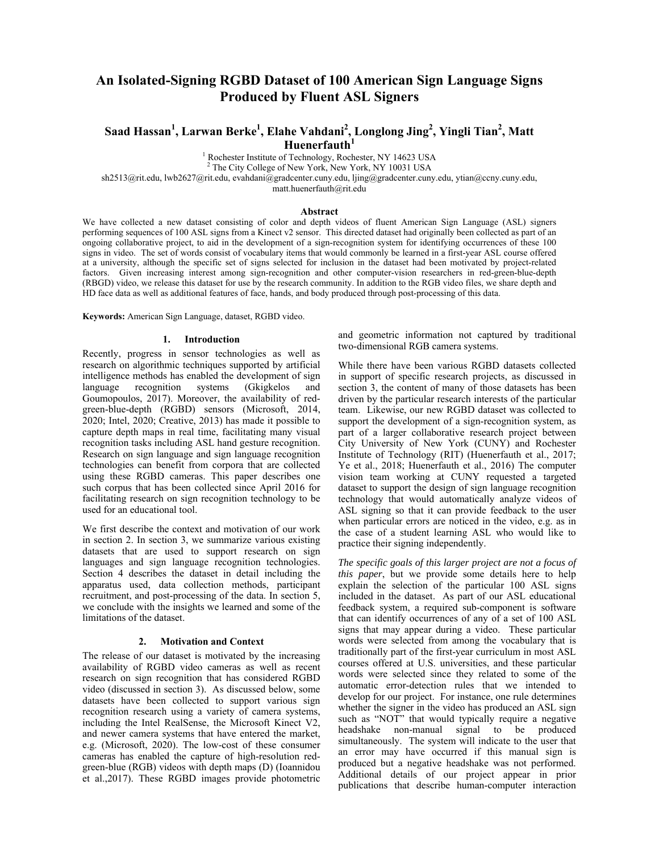# **An Isolated-Signing RGBD Dataset of 100 American Sign Language Signs Produced by Fluent ASL Signers**

# $S$ aad Hassan<sup>1</sup>, Larwan Berke<sup>1</sup>, Elahe Vahdani<sup>2</sup>, Longlong Jing<sup>2</sup>, Yingli Tian<sup>2</sup>, Matt **Huenerfauth<sup>1</sup>**

<sup>1</sup> Rochester Institute of Technology, Rochester, NY 14623 USA  $^{2}$  The City Collage of New York, New York, NY 10031 USA

 $2$  The City College of New York, New York, NY 10031 USA

sh2513@rit.edu, lwb2627@rit.edu, evahdani@gradcenter.cuny.edu, ljing@gradcenter.cuny.edu, ytian@ccny.cuny.edu,

matt.huenerfauth@rit.edu

### **Abstract**

We have collected a new dataset consisting of color and depth videos of fluent American Sign Language (ASL) signers performing sequences of 100 ASL signs from a Kinect v2 sensor. This directed dataset had originally been collected as part of an ongoing collaborative project, to aid in the development of a sign-recognition system for identifying occurrences of these 100 signs in video. The set of words consist of vocabulary items that would commonly be learned in a first-year ASL course offered at a university, although the specific set of signs selected for inclusion in the dataset had been motivated by project-related factors. Given increasing interest among sign-recognition and other computer-vision researchers in red-green-blue-depth (RBGD) video, we release this dataset for use by the research community. In addition to the RGB video files, we share depth and HD face data as well as additional features of face, hands, and body produced through post-processing of this data.

**Keywords:** American Sign Language, dataset, RGBD video.

### **1. Introduction**

Recently, progress in sensor technologies as well as research on algorithmic techniques supported by artificial intelligence methods has enabled the development of sign language recognition systems (Gkigkelos and Goumopoulos, 2017). Moreover, the availability of redgreen-blue-depth (RGBD) sensors (Microsoft, 2014, 2020; Intel, 2020; Creative, 2013) has made it possible to capture depth maps in real time, facilitating many visual recognition tasks including ASL hand gesture recognition. Research on sign language and sign language recognition technologies can benefit from corpora that are collected using these RGBD cameras. This paper describes one such corpus that has been collected since April 2016 for facilitating research on sign recognition technology to be used for an educational tool.

We first describe the context and motivation of our work in section 2. In section 3, we summarize various existing datasets that are used to support research on sign languages and sign language recognition technologies. Section 4 describes the dataset in detail including the apparatus used, data collection methods, participant recruitment, and post-processing of the data. In section 5, we conclude with the insights we learned and some of the limitations of the dataset.

### **2. Motivation and Context**

The release of our dataset is motivated by the increasing availability of RGBD video cameras as well as recent research on sign recognition that has considered RGBD video (discussed in section 3). As discussed below, some datasets have been collected to support various sign recognition research using a variety of camera systems, including the Intel RealSense, the Microsoft Kinect V2, and newer camera systems that have entered the market, e.g. (Microsoft, 2020). The low-cost of these consumer cameras has enabled the capture of high-resolution redgreen-blue (RGB) videos with depth maps (D) (Ioannidou et al.,2017). These RGBD images provide photometric

and geometric information not captured by traditional two-dimensional RGB camera systems.

While there have been various RGBD datasets collected in support of specific research projects, as discussed in section 3, the content of many of those datasets has been driven by the particular research interests of the particular team. Likewise, our new RGBD dataset was collected to support the development of a sign-recognition system, as part of a larger collaborative research project between City University of New York (CUNY) and Rochester Institute of Technology (RIT) (Huenerfauth et al., 2017; Ye et al., 2018; Huenerfauth et al., 2016) The computer vision team working at CUNY requested a targeted dataset to support the design of sign language recognition technology that would automatically analyze videos of ASL signing so that it can provide feedback to the user when particular errors are noticed in the video, e.g. as in the case of a student learning ASL who would like to practice their signing independently.

*The specific goals of this larger project are not a focus of this paper*, but we provide some details here to help explain the selection of the particular 100 ASL signs included in the dataset. As part of our ASL educational feedback system, a required sub-component is software that can identify occurrences of any of a set of 100 ASL signs that may appear during a video. These particular words were selected from among the vocabulary that is traditionally part of the first-year curriculum in most ASL courses offered at U.S. universities, and these particular words were selected since they related to some of the automatic error-detection rules that we intended to develop for our project. For instance, one rule determines whether the signer in the video has produced an ASL sign such as "NOT" that would typically require a negative headshake non-manual signal to be produced simultaneously. The system will indicate to the user that an error may have occurred if this manual sign is produced but a negative headshake was not performed. Additional details of our project appear in prior publications that describe human-computer interaction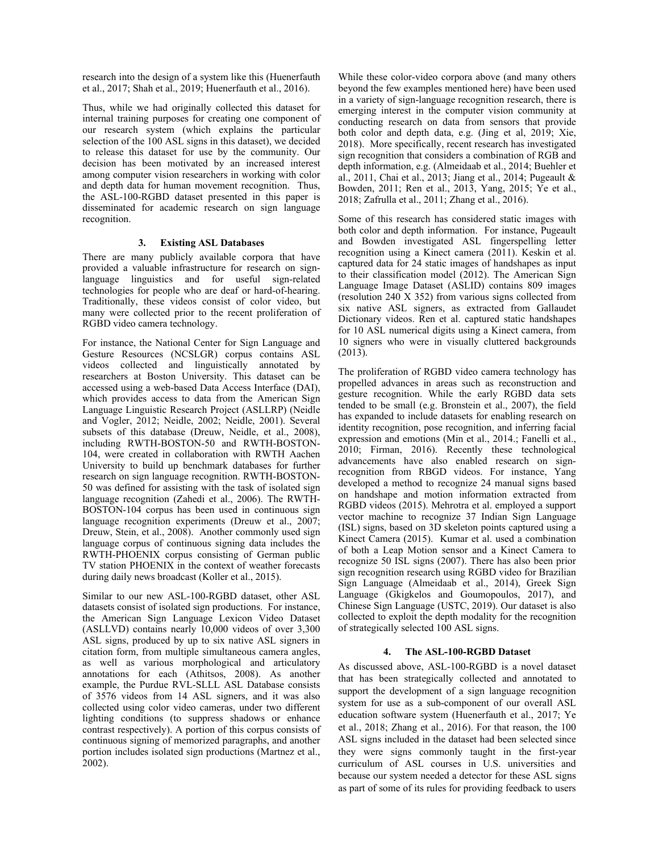research into the design of a system like this (Huenerfauth et al., 2017; Shah et al., 2019; Huenerfauth et al., 2016).

Thus, while we had originally collected this dataset for internal training purposes for creating one component of our research system (which explains the particular selection of the 100 ASL signs in this dataset), we decided to release this dataset for use by the community. Our decision has been motivated by an increased interest among computer vision researchers in working with color and depth data for human movement recognition. Thus, the ASL-100-RGBD dataset presented in this paper is disseminated for academic research on sign language recognition.

# **3. Existing ASL Databases**

There are many publicly available corpora that have provided a valuable infrastructure for research on signlanguage linguistics and for useful sign-related technologies for people who are deaf or hard-of-hearing. Traditionally, these videos consist of color video, but many were collected prior to the recent proliferation of RGBD video camera technology.

For instance, the National Center for Sign Language and Gesture Resources (NCSLGR) corpus contains ASL videos collected and linguistically annotated by researchers at Boston University. This dataset can be accessed using a web-based Data Access Interface (DAI), which provides access to data from the American Sign Language Linguistic Research Project (ASLLRP) (Neidle and Vogler, 2012; Neidle, 2002; Neidle, 2001). Several subsets of this database (Dreuw, Neidle, et al., 2008), including RWTH-BOSTON-50 and RWTH-BOSTON-104, were created in collaboration with RWTH Aachen University to build up benchmark databases for further research on sign language recognition. RWTH-BOSTON-50 was defined for assisting with the task of isolated sign language recognition (Zahedi et al., 2006). The RWTH-BOSTON-104 corpus has been used in continuous sign language recognition experiments (Dreuw et al., 2007; Dreuw, Stein, et al., 2008). Another commonly used sign language corpus of continuous signing data includes the RWTH-PHOENIX corpus consisting of German public TV station PHOENIX in the context of weather forecasts during daily news broadcast (Koller et al., 2015).

Similar to our new ASL-100-RGBD dataset, other ASL datasets consist of isolated sign productions. For instance, the American Sign Language Lexicon Video Dataset (ASLLVD) contains nearly 10,000 videos of over 3,300 ASL signs, produced by up to six native ASL signers in citation form, from multiple simultaneous camera angles, as well as various morphological and articulatory annotations for each (Athitsos, 2008). As another example, the Purdue RVL-SLLL ASL Database consists of 3576 videos from 14 ASL signers, and it was also collected using color video cameras, under two different lighting conditions (to suppress shadows or enhance contrast respectively). A portion of this corpus consists of continuous signing of memorized paragraphs, and another portion includes isolated sign productions (Martnez et al., 2002).

While these color-video corpora above (and many others beyond the few examples mentioned here) have been used in a variety of sign-language recognition research, there is emerging interest in the computer vision community at conducting research on data from sensors that provide both color and depth data, e.g. (Jing et al, 2019; Xie, 2018). More specifically, recent research has investigated sign recognition that considers a combination of RGB and depth information, e.g. (Almeidaab et al., 2014; Buehler et al., 2011, Chai et al., 2013; Jiang et al., 2014; Pugeault & Bowden, 2011; Ren et al., 2013, Yang, 2015; Ye et al., 2018; Zafrulla et al., 2011; Zhang et al., 2016).

Some of this research has considered static images with both color and depth information. For instance, Pugeault and Bowden investigated ASL fingerspelling letter recognition using a Kinect camera (2011). Keskin et al. captured data for 24 static images of handshapes as input to their classification model (2012). The American Sign Language Image Dataset (ASLID) contains 809 images (resolution 240 X 352) from various signs collected from six native ASL signers, as extracted from Gallaudet Dictionary videos. Ren et al. captured static handshapes for 10 ASL numerical digits using a Kinect camera, from 10 signers who were in visually cluttered backgrounds (2013).

The proliferation of RGBD video camera technology has propelled advances in areas such as reconstruction and gesture recognition. While the early RGBD data sets tended to be small (e.g. Bronstein et al., 2007), the field has expanded to include datasets for enabling research on identity recognition, pose recognition, and inferring facial expression and emotions (Min et al., 2014.; Fanelli et al., 2010; Firman, 2016). Recently these technological advancements have also enabled research on signrecognition from RBGD videos. For instance, Yang developed a method to recognize 24 manual signs based on handshape and motion information extracted from RGBD videos (2015). Mehrotra et al. employed a support vector machine to recognize 37 Indian Sign Language (ISL) signs, based on 3D skeleton points captured using a Kinect Camera (2015). Kumar et al. used a combination of both a Leap Motion sensor and a Kinect Camera to recognize 50 ISL signs (2007). There has also been prior sign recognition research using RGBD video for Brazilian Sign Language (Almeidaab et al., 2014), Greek Sign Language (Gkigkelos and Goumopoulos, 2017), and Chinese Sign Language (USTC, 2019). Our dataset is also collected to exploit the depth modality for the recognition of strategically selected 100 ASL signs.

## **4. The ASL-100-RGBD Dataset**

As discussed above, ASL-100-RGBD is a novel dataset that has been strategically collected and annotated to support the development of a sign language recognition system for use as a sub-component of our overall ASL education software system (Huenerfauth et al., 2017; Ye et al., 2018; Zhang et al., 2016). For that reason, the 100 ASL signs included in the dataset had been selected since they were signs commonly taught in the first-year curriculum of ASL courses in U.S. universities and because our system needed a detector for these ASL signs as part of some of its rules for providing feedback to users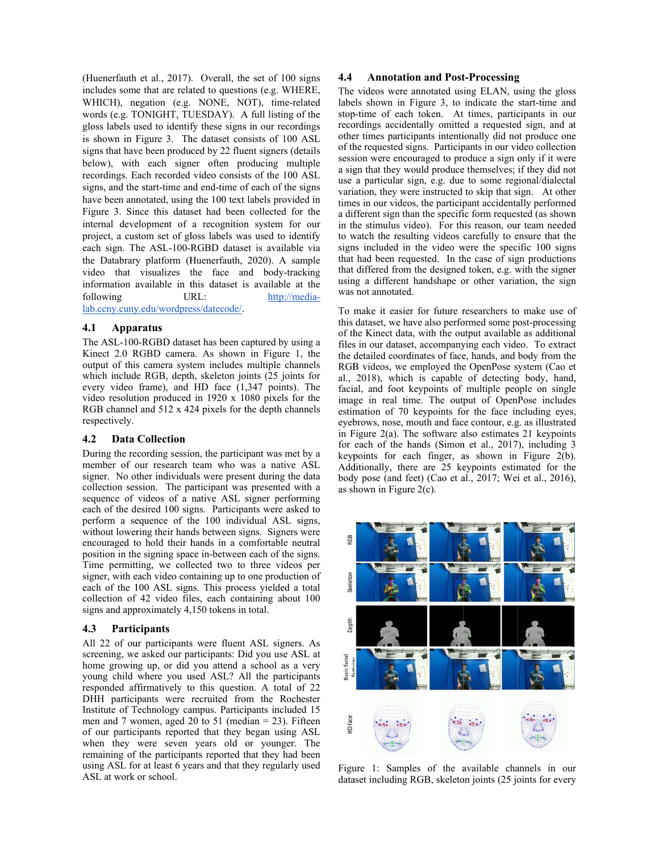(Huenerfauth et al., 2017). Overall, the set of 100 signs includes some that are related to questions (e.g. WHERE, WHICH), negation (e.g. NONE, NOT), time-related words (e.g. TONIGHT, TUESDAY). A full listing of the gloss labels used to identify these signs in our recordings is shown in Figure 3. The dataset consists of 100 ASL signs that have been produced by 22 fluent signers (details) below), with each signer often producing multiple recordings. Each recorded video consists of the 100 ASL signs, and the start-time and end-time of each of the signs have been annotated, using the 100 text labels provided in Figure 3. Since this dataset had been collected for the internal development of a recognition system for our project, a custom set of gloss labels was used to identify each sign. The ASL-100-RGBD dataset is available via the Databrary platform (Huenerfauth, 2020). A sample video that visualizes the face and body-tracking information available in this dataset is available at the following URL: http://medialab.ccny.cuny.edu/wordpress/datecode/.

#### 4.1 **Apparatus**

The ASL-100-RGBD dataset has been captured by using a Kinect 2.0 RGBD camera. As shown in Figure 1, the output of this camera system includes multiple channels which include RGB, depth, skeleton joints (25 joints for every video frame), and HD face (1,347 points). The video resolution produced in  $1920 \times 1080$  pixels for the RGB channel and 512 x 424 pixels for the depth channels respectively.

#### **Data Collection** 4.2

During the recording session, the participant was met by a member of our research team who was a native ASL signer. No other individuals were present during the data collection session. The participant was presented with a sequence of videos of a native ASL signer performing each of the desired 100 signs. Participants were asked to perform a sequence of the 100 individual ASL signs, without lowering their hands between signs. Signers were encouraged to hold their hands in a comfortable neutral position in the signing space in-between each of the signs. Time permitting, we collected two to three videos per signer, with each video containing up to one production of each of the 100 ASL signs. This process yielded a total collection of 42 video files, each containing about 100 signs and approximately 4,150 tokens in total.

#### 4.3 **Participants**

All 22 of our participants were fluent ASL signers. As screening, we asked our participants: Did you use ASL at home growing up, or did you attend a school as a very young child where you used ASL? All the participants responded affirmatively to this question. A total of 22 DHH participants were recruited from the Rochester Institute of Technology campus. Participants included 15 men and 7 women, aged 20 to 51 (median  $= 23$ ). Fifteen of our participants reported that they began using ASL when they were seven years old or younger. The remaining of the participants reported that they had been using ASL for at least 6 years and that they regularly used ASL at work or school.

#### 4.4 **Annotation and Post-Processing**

The videos were annotated using ELAN, using the gloss labels shown in Figure 3, to indicate the start-time and stop-time of each token. At times, participants in our recordings accidentally omitted a requested sign, and at other times participants intentionally did not produce one of the requested signs. Participants in our video collection session were encouraged to produce a sign only if it were a sign that they would produce themselves; if they did not use a particular sign, e.g. due to some regional/dialectal variation, they were instructed to skip that sign. At other times in our videos, the participant accidentally performed a different sign than the specific form requested (as shown in the stimulus video). For this reason, our team needed to watch the resulting videos carefully to ensure that the signs included in the video were the specific 100 signs that had been requested. In the case of sign productions that differed from the designed token, e.g. with the signer using a different handshape or other variation, the sign was not annotated.

To make it easier for future researchers to make use of this dataset, we have also performed some post-processing of the Kinect data, with the output available as additional files in our dataset, accompanying each video. To extract the detailed coordinates of face, hands, and body from the RGB videos, we employed the OpenPose system (Cao et al., 2018), which is capable of detecting body, hand, facial, and foot keypoints of multiple people on single image in real time. The output of OpenPose includes estimation of 70 keypoints for the face including eyes, eyebrows, nose, mouth and face contour, e.g. as illustrated in Figure  $2(a)$ . The software also estimates 21 keypoints for each of the hands (Simon et al., 2017), including 3 keypoints for each finger, as shown in Figure 2(b). Additionally, there are 25 keypoints estimated for the body pose (and feet) (Cao et al., 2017; Wei et al., 2016), as shown in Figure 2(c).



Figure 1: Samples of the available channels in our dataset including RGB, skeleton joints (25 joints for every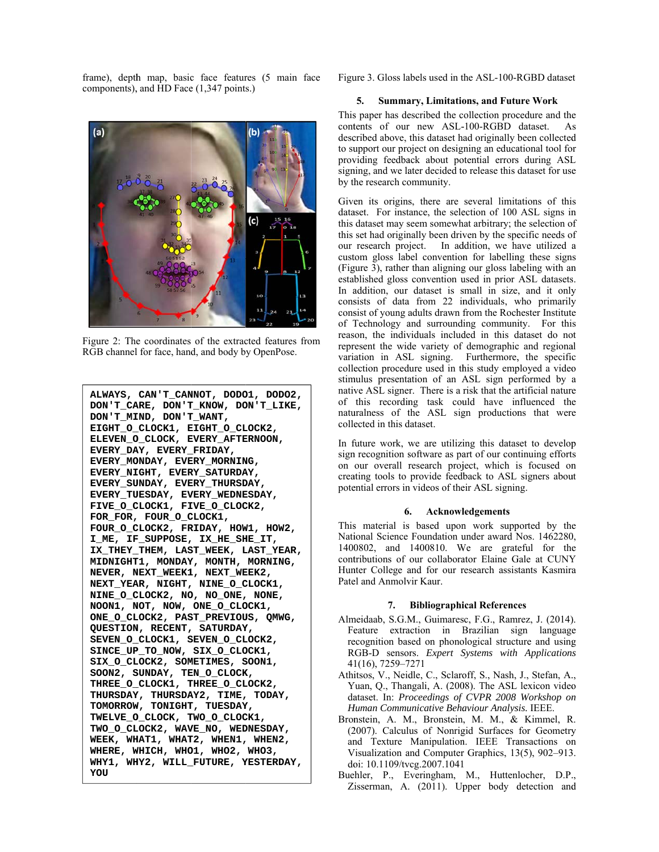frame), depth map, basic face features (5 main face components), and HD Face (1,347 points.)



Figure 2: The coordinates of the extracted features from RGB channel for face, hand, and body by OpenPose.

**ALWAYS, CAN'T\_CAN NNOT, DODO O1, DODO2, DON'T\_CA ARE, DON'T T\_KNOW, DO ON'T\_LIKE, DON'T\_MI IND, DON'T T\_WANT, EIGHT\_O\_ \_CLOCK1, E EIGHT\_O\_CL LOCK2, ELEVEN\_O O\_CLOCK, E EVERY\_AFTE ERNOON, EVERY\_DA AY, EVERY\_ \_FRIDAY, EVERY\_MO ONDAY, EVE ERY\_MORNIN NG, EVERY\_NI IGHT, EVER RY\_SATURDA AY, EVERY\_SU UNDAY, EVE ERY\_THURSD DAY,**   $\texttt{EVERY\_TUESDAY}$ ,  $\texttt{EVERY\_WEDNESDAY}$ , **FIVE\_O\_C CLOCK1, FI IVE\_O\_CLOC CK2, FOR\_FOR, FOUR\_O\_C CLOCK1, FOUR\_O\_C CLOCK2, FR RIDAY, HOW W1, HOW2, I\_ME, IF F\_SUPPOSE, , IX\_HE\_SH HE\_IT, IX\_THEY\_ \_THEM, LAS ST\_WEEK, L LAST\_YEAR, MIDNIGHT T1, MONDAY Y, MONTH, MORNING, NEVER, N NEXT\_WEEK1 1, NEXT\_WE EEK2, NEXT\_YEA AR, NIGHT, , NINE\_O\_C CLOCK1, NINE\_O\_C CLOCK2, NO O, NO\_ONE, , NONE, NOON1, N NOT, NOW, ONE\_O\_CLO OCK1, ONE\_O\_CL LOCK2, PAS ST\_PREVIOU US, QMWG, QUESTION N, RECENT, , SATURDAY Y, SEVEN\_O\_ \_CLOCK1, S SEVEN\_O\_CL LOCK2, SINCE\_UP P\_TO\_NOW, SIX\_O\_CLO OCK1, SIX\_O\_CL LOCK2, SOM METIMES, S SOON1, SOON2, S SUNDAY, TE EN\_O\_CLOCK K, THREE\_O\_ \_CLOCK1, T THREE\_O\_CL LOCK2, THURSDAY Y, THURSDA AY2, TIME, , TODAY, TOMORROW W, TONIGHT T, TUESDAY Y, TWELVE\_O O\_CLOCK, T TWO\_O\_CLOC CK1, TWO\_O\_CL LOCK2, WAV VE\_NO, WED DNESDAY, WEEK, WH HAT1, WHAT T2, WHEN1, , WHEN2, WHERE, W WHICH, WHO O1, WHO2, WHO3, WHY1, WH HY2, WILL\_ \_FUTURE, Y YESTERDAY, YOU** 

Figure 3. Gloss labels used in the ASL-100-RGBD dataset

# **5.** Summary, Limitations, and Future Work

This paper has described the collection procedure and the contents of our new ASL-100-RGBD dataset. A desc cribed above, this dataset h ad originally b been collected described above, this dataset had originally been collected<br>to support our project on designing an educational tool for providing feedback about potential errors during ASL signing, and we later decided to release this dataset for use by the research community.  $As$ L<br>se<br>is

Given its origins, there are several limitations of thi dataset. For instance, the selection of 100 ASL signs in dataset. For instance, the selection of 100 ASL signs in this dataset may seem somewhat arbitrary; the selection of this set had originally been driven by the specific needs of our research project. In addition, we have utilized a custom gloss label convention for labelling these signs (Figure 3), rather than aligning our gloss labeling with an (Figure 3), rather than aligning our gloss labeling with an established gloss convention used in prior ASL datasets. In addition, our dataset is small in size, and it only consists of data from 22 individuals, who primarily consist of young adults drawn from the Rochester Institute of Technology and surrounding community. For thi reason, the individuals included in this dataset do not represent the wide variety of demographic and regional variation in ASL signing. Furthermore, the specific collection procedure used in this study employed a video stimulus presentation of an ASL sign performed by a native ASL signer. There is a risk that the artificial nature of this recording task could have influenced the naturalness of the ASL sign productions that were colle ected in this d dataset. Figure 3. Gloss la<br>
5. **Summa**<br>
This paper has de<br>
contents of our<br>
described above,<br>
to support our precoviding feedba<br>
is graing, and we la<br>
by the research cord our providing feedba<br>
is graing, and we la<br>
by the researc y<br>yes coaeee<br>eeee

In future work, we are utilizing this dataset to develop sign recognition software as part of our continuing effort on our overall research project, which is focused on on our overall research project, which is focused on creating tools to provide feedback to ASL signers about potential errors in videos of their ASL signing.

## **6 6. Acknowl ledgements**

This material is based upon work supported by the This material is based upon work supported by the<br>National Science Foundation under award Nos. 1462280, 1400 0802, and 1400810. W We are grat eful for the contributions of our collaborator Elaine Gale at CUNY Hunter College and for our research assistants Kasmira Patel and Anmolvir Kaur. ne<br>Y<br>ra<br>|-).

#### **7. Bibliographical References**

- Almeidaab, S.G.M., Guimaresc, F.G., Ramrez, J. (2014) Feature extraction in Brazilian sign language<br>recognition based on phonological structure and using recognition based on phonological structure and using RGB-D sensors. Expert Systems with Applications 41 1(16), 7259–7 7271
- Athitsos, V., Neidle, C., Sclaroff, S., Nash, J., Stefan, A., Yuan, Q., Thangali, A. (2008). The ASL lexicon video dataset. In: Proceedings of CVPR 2008 Workshop on Human Communicative Behaviour Analysis. IEEE.
- Bronstein, A. M., Bronstein, M. M., & Kimmel, R. (2007). Calculus of Nonrigid Surfaces for Geometry and Texture Manipulation. IEEE Transactions on Visualization and Computer Graphics, 13(5), 902-913 doi: 10.1109/tvcg.2007.1041 ry<br>on<br>3.
- doi: 10.1109/tvcg.2007.1041<br>Buehler, P., Everingham, M., Huttenlocher, D.P., Zisserman, A. (2011). Upper body detection and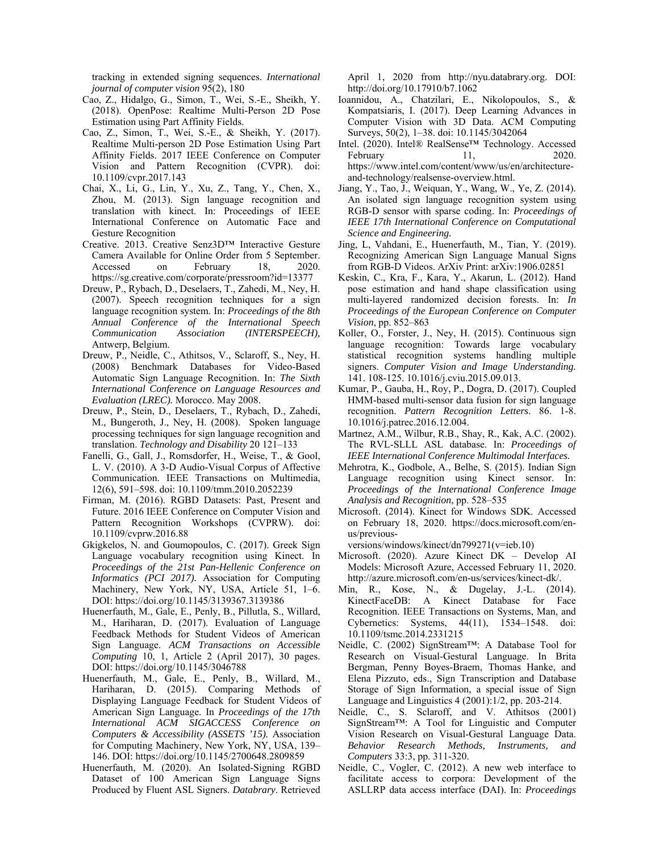tracking in extended signing sequences. *International journal of computer vision* 95(2), 180

- Cao, Z., Hidalgo, G., Simon, T., Wei, S.-E., Sheikh, Y. (2018). OpenPose: Realtime Multi-Person 2D Pose Estimation using Part Affinity Fields.
- Cao, Z., Simon, T., Wei, S.-E., & Sheikh, Y. (2017). Realtime Multi-person 2D Pose Estimation Using Part Affinity Fields. 2017 IEEE Conference on Computer Vision and Pattern Recognition (CVPR). doi: 10.1109/cvpr.2017.143
- Chai, X., Li, G., Lin, Y., Xu, Z., Tang, Y., Chen, X., Zhou, M. (2013). Sign language recognition and translation with kinect. In: Proceedings of IEEE International Conference on Automatic Face and Gesture Recognition
- Creative. 2013. Creative Senz3D™ Interactive Gesture Camera Available for Online Order from 5 September. Accessed on February 18, 2020. https://sg.creative.com/corporate/pressroom?id=13377
- Dreuw, P., Rybach, D., Deselaers, T., Zahedi, M., Ney, H. (2007). Speech recognition techniques for a sign language recognition system. In: *Proceedings of the 8th Annual Conference of the International Speech Communication Association (INTERSPEECH),* Antwerp, Belgium.
- Dreuw, P., Neidle, C., Athitsos, V., Sclaroff, S., Ney, H. (2008) Benchmark Databases for Video-Based Automatic Sign Language Recognition. In: *The Sixth International Conference on Language Resources and Evaluation (LREC).* Morocco. May 2008.
- Dreuw, P., Stein, D., Deselaers, T., Rybach, D., Zahedi, M., Bungeroth, J., Ney, H. (2008). Spoken language processing techniques for sign language recognition and translation. *Technology and Disability* 20 121–133
- Fanelli, G., Gall, J., Romsdorfer, H., Weise, T., & Gool, L. V. (2010). A 3-D Audio-Visual Corpus of Affective Communication. IEEE Transactions on Multimedia, 12(6), 591–598. doi: 10.1109/tmm.2010.2052239
- Firman, M. (2016). RGBD Datasets: Past, Present and Future. 2016 IEEE Conference on Computer Vision and Pattern Recognition Workshops (CVPRW). doi: 10.1109/cvprw.2016.88
- Gkigkelos, N. and Goumopoulos, C. (2017). Greek Sign Language vocabulary recognition using Kinect. In *Proceedings of the 21st Pan-Hellenic Conference on Informatics (PCI 2017).* Association for Computing Machinery, New York, NY, USA, Article 51, 1–6. DOI: https://doi.org/10.1145/3139367.3139386
- Huenerfauth, M., Gale, E., Penly, B., Pillutla, S., Willard, M., Hariharan, D. (2017). Evaluation of Language Feedback Methods for Student Videos of American Sign Language. *ACM Transactions on Accessible Computing* 10, 1, Article 2 (April 2017), 30 pages. DOI: https://doi.org/10.1145/3046788
- Huenerfauth, M., Gale, E., Penly, B., Willard, M., Hariharan, D. (2015). Comparing Methods of Displaying Language Feedback for Student Videos of American Sign Language. In *Proceedings of the 17th International ACM SIGACCESS Conference on Computers & Accessibility (ASSETS '15).* Association for Computing Machinery, New York, NY, USA, 139– 146. DOI: https://doi.org/10.1145/2700648.2809859
- Huenerfauth, M. (2020). An Isolated-Signing RGBD Dataset of 100 American Sign Language Signs Produced by Fluent ASL Signers. *Databrary*. Retrieved

April 1, 2020 from http://nyu.databrary.org. DOI: http://doi.org/10.17910/b7.1062

- Ioannidou, A., Chatzilari, E., Nikolopoulos, S., & Kompatsiaris, I. (2017). Deep Learning Advances in Computer Vision with 3D Data. ACM Computing Surveys, 50(2), 1–38. doi: 10.1145/3042064
- Intel. (2020). Intel® RealSense™ Technology. Accessed February 11, 2020. https://www.intel.com/content/www/us/en/architectureand-technology/realsense-overview.html.
- Jiang, Y., Tao, J., Weiquan, Y., Wang, W., Ye, Z. (2014). An isolated sign language recognition system using RGB-D sensor with sparse coding. In: *Proceedings of IEEE 17th International Conference on Computational Science and Engineering.*
- Jing, L, Vahdani, E., Huenerfauth, M., Tian, Y. (2019). Recognizing American Sign Language Manual Signs from RGB-D Videos. ArXiv Print: arXiv:1906.02851
- Keskin, C., Kra, F., Kara, Y., Akarun, L. (2012). Hand pose estimation and hand shape classification using multi-layered randomized decision forests. In: *In Proceedings of the European Conference on Computer Vision*, pp. 852–863
- Koller, O., Forster, J., Ney, H. (2015). Continuous sign language recognition: Towards large vocabulary statistical recognition systems handling multiple signers. *Computer Vision and Image Understanding.*  141. 108-125. 10.1016/j.cviu.2015.09.013.
- Kumar, P., Gauba, H., Roy, P., Dogra, D. (2017). Coupled HMM-based multi-sensor data fusion for sign language recognition. *Pattern Recognition Letters*. 86. 1-8. 10.1016/j.patrec.2016.12.004.
- Martnez, A.M., Wilbur, R.B., Shay, R., Kak, A.C. (2002). The RVL-SLLL ASL database. In: *Proceedings of IEEE International Conference Multimodal Interfaces.*
- Mehrotra, K., Godbole, A., Belhe, S. (2015). Indian Sign Language recognition using Kinect sensor. In: *Proceedings of the International Conference Image Analysis and Recognition*, pp. 528–535
- Microsoft. (2014). Kinect for Windows SDK. Accessed on February 18, 2020. https://docs.microsoft.com/enus/previous-

versions/windows/kinect/dn799271(v=ieb.10)

- Microsoft. (2020). Azure Kinect DK Develop AI Models: Microsoft Azure, Accessed February 11, 2020. http://azure.microsoft.com/en-us/services/kinect-dk/.
- Min, R., Kose, N., & Dugelay, J.-L. (2014). KinectFaceDB: A Kinect Database for Face Recognition. IEEE Transactions on Systems, Man, and Cybernetics: Systems, 44(11), 1534–1548. doi: 10.1109/tsmc.2014.2331215
- Neidle, C. (2002) SignStream™: A Database Tool for Research on Visual-Gestural Language. In Brita Bergman, Penny Boyes-Braem, Thomas Hanke, and Elena Pizzuto, eds., Sign Transcription and Database Storage of Sign Information, a special issue of Sign Language and Linguistics 4 (2001):1/2, pp. 203-214.
- Neidle, C., S. Sclaroff, and V. Athitsos (2001) SignStream™: A Tool for Linguistic and Computer Vision Research on Visual-Gestural Language Data. *Behavior Research Methods, Instruments, and Computers* 33:3, pp. 311-320.
- Neidle, C., Vogler, C. (2012). A new web interface to facilitate access to corpora: Development of the ASLLRP data access interface (DAI). In: *Proceedings*